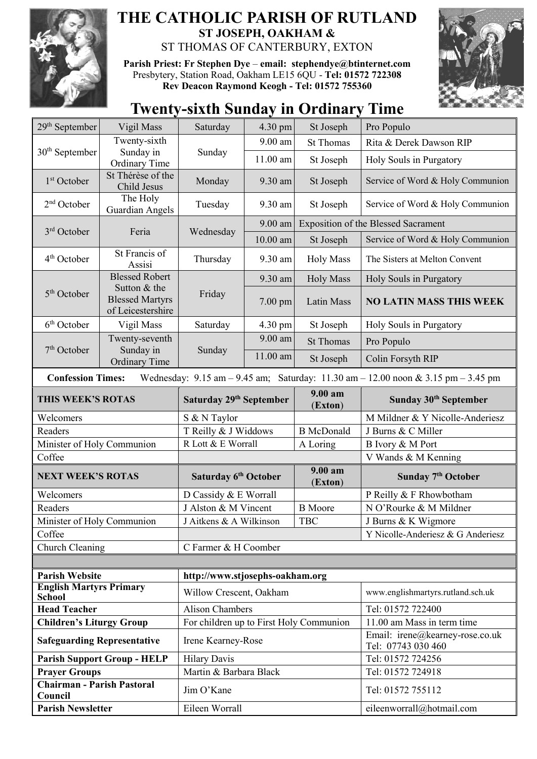

## **THE CATHOLIC PARISH OF RUTLAND ST JOSEPH, OAKHAM &**  ST THOMAS OF CANTERBURY, EXTON

**Parish Priest: Fr Stephen Dye** – **[email: stephendye@btinternet.com](mailto:email:%20%20stephendye@btinternet.com)** Presbytery, Station Road, Oakham LE15 6QU - **Tel: 01572 722308 Rev Deacon Raymond Keogh - Tel: 01572 755360**



## **Twenty-sixth Sunday in Ordinary Time**

| 29 <sup>th</sup> September                      | Vigil Mass                                                                                                                                                          | Saturday                                | 4.30 pm    | St Joseph                                  | Pro Populo                                            |  |  |
|-------------------------------------------------|---------------------------------------------------------------------------------------------------------------------------------------------------------------------|-----------------------------------------|------------|--------------------------------------------|-------------------------------------------------------|--|--|
|                                                 | Twenty-sixth                                                                                                                                                        |                                         | 9.00 am    | <b>St Thomas</b>                           | Rita & Derek Dawson RIP                               |  |  |
| $30th$ September                                | Sunday in<br>Ordinary Time                                                                                                                                          | Sunday                                  | $11.00$ am | St Joseph                                  | Holy Souls in Purgatory                               |  |  |
| 1 <sup>st</sup> October                         | St Thérèse of the<br>Child Jesus                                                                                                                                    | Monday                                  | 9.30 am    | St Joseph                                  | Service of Word & Holy Communion                      |  |  |
| 2 <sup>nd</sup> October                         | The Holy<br><b>Guardian Angels</b>                                                                                                                                  | Tuesday                                 | 9.30 am    | St Joseph                                  | Service of Word & Holy Communion                      |  |  |
|                                                 | Feria                                                                                                                                                               | Wednesday                               | 9.00 am    | <b>Exposition of the Blessed Sacrament</b> |                                                       |  |  |
| 3 <sup>rd</sup> October                         |                                                                                                                                                                     |                                         | $10.00$ am | St Joseph                                  | Service of Word & Holy Communion                      |  |  |
| 4 <sup>th</sup> October                         | St Francis of<br>Assisi                                                                                                                                             | Thursday                                | 9.30 am    | <b>Holy Mass</b>                           | The Sisters at Melton Convent                         |  |  |
|                                                 | <b>Blessed Robert</b>                                                                                                                                               | Friday                                  | 9.30 am    | <b>Holy Mass</b>                           | Holy Souls in Purgatory                               |  |  |
| $5th$ October                                   | Sutton & the<br><b>Blessed Martyrs</b><br>of Leicestershire                                                                                                         |                                         | $7.00$ pm  | Latin Mass                                 | <b>NO LATIN MASS THIS WEEK</b>                        |  |  |
| 6 <sup>th</sup> October                         | Vigil Mass                                                                                                                                                          | Saturday                                | 4.30 pm    | St Joseph                                  | Holy Souls in Purgatory                               |  |  |
| 7 <sup>th</sup> October                         | Twenty-seventh<br>Sunday in                                                                                                                                         | Sunday                                  | 9.00 am    | <b>St Thomas</b>                           | Pro Populo                                            |  |  |
|                                                 | <b>Ordinary Time</b>                                                                                                                                                |                                         | 11.00 am   | St Joseph                                  | Colin Forsyth RIP                                     |  |  |
|                                                 | <b>Confession Times:</b><br>Wednesday: $9.15 \text{ am} - 9.45 \text{ am}$ ; Saturday: $11.30 \text{ am} - 12.00 \text{ noon} \& 3.15 \text{ pm} - 3.45 \text{ pm}$ |                                         |            |                                            |                                                       |  |  |
| THIS WEEK'S ROTAS                               |                                                                                                                                                                     | Saturday 29 <sup>th</sup> September     |            | 9.00 am<br>(Exton)                         | Sunday 30 <sup>th</sup> September                     |  |  |
| Welcomers                                       |                                                                                                                                                                     | S & N Taylor                            |            |                                            | M Mildner & Y Nicolle-Anderiesz                       |  |  |
|                                                 |                                                                                                                                                                     |                                         |            |                                            |                                                       |  |  |
| Readers                                         |                                                                                                                                                                     | T Reilly & J Widdows                    |            | <b>B</b> McDonald                          | J Burns & C Miller                                    |  |  |
| Minister of Holy Communion                      |                                                                                                                                                                     | R Lott & E Worrall                      |            | A Loring                                   | B Ivory & M Port                                      |  |  |
| Coffee                                          |                                                                                                                                                                     |                                         |            |                                            | V Wands & M Kenning                                   |  |  |
| <b>NEXT WEEK'S ROTAS</b>                        |                                                                                                                                                                     | Saturday 6 <sup>th</sup> October        |            | 9.00 am<br>(Exton)                         | Sunday 7 <sup>th</sup> October                        |  |  |
| Welcomers                                       |                                                                                                                                                                     | D Cassidy & E Worrall                   |            |                                            | P Reilly & F Rhowbotham                               |  |  |
| Readers                                         |                                                                                                                                                                     | J Alston & M Vincent                    |            | <b>B</b> Moore                             | N O'Rourke & M Mildner                                |  |  |
| Minister of Holy Communion                      |                                                                                                                                                                     | J Aitkens & A Wilkinson                 |            | <b>TBC</b>                                 | J Burns & K Wigmore                                   |  |  |
| Coffee                                          |                                                                                                                                                                     |                                         |            |                                            | Y Nicolle-Anderiesz & G Anderiesz                     |  |  |
| Church Cleaning                                 |                                                                                                                                                                     | C Farmer & H Coomber                    |            |                                            |                                                       |  |  |
|                                                 |                                                                                                                                                                     |                                         |            |                                            |                                                       |  |  |
| <b>Parish Website</b>                           |                                                                                                                                                                     | http://www.stjosephs-oakham.org         |            |                                            |                                                       |  |  |
| <b>English Martyrs Primary</b><br><b>School</b> |                                                                                                                                                                     | Willow Crescent, Oakham                 |            |                                            | www.englishmartyrs.rutland.sch.uk                     |  |  |
| <b>Head Teacher</b>                             |                                                                                                                                                                     | <b>Alison Chambers</b>                  |            |                                            | Tel: 01572 722400                                     |  |  |
| <b>Children's Liturgy Group</b>                 |                                                                                                                                                                     | For children up to First Holy Communion |            |                                            | 11.00 am Mass in term time                            |  |  |
| <b>Safeguarding Representative</b>              |                                                                                                                                                                     | Irene Kearney-Rose                      |            |                                            | Email: irene@kearney-rose.co.uk<br>Tel: 07743 030 460 |  |  |
|                                                 | <b>Parish Support Group - HELP</b>                                                                                                                                  | <b>Hilary Davis</b>                     |            |                                            | Tel: 01572 724256                                     |  |  |
| <b>Prayer Groups</b>                            |                                                                                                                                                                     | Martin & Barbara Black                  |            |                                            | Tel: 01572 724918                                     |  |  |
| <b>Chairman - Parish Pastoral</b><br>Council    |                                                                                                                                                                     | Jim O'Kane                              |            |                                            | Tel: 01572 755112                                     |  |  |